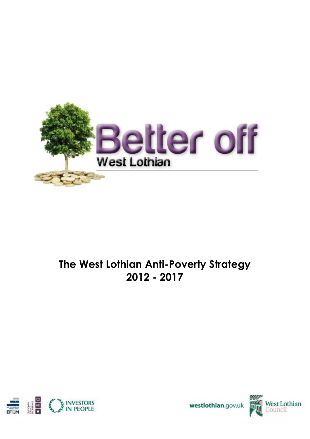

# **The West Lothian Anti-Poverty Strategy 2012 - 2017**





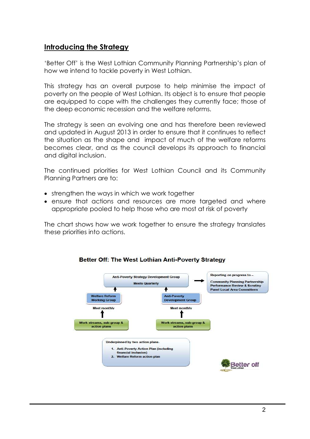# **Introducing the Strategy**

'Better Off' is the West Lothian Community Planning Partnership's plan of how we intend to tackle poverty in West Lothian.

This strategy has an overall purpose to help minimise the impact of poverty on the people of West Lothian. Its object is to ensure that people are equipped to cope with the challenges they currently face; those of the deep economic recession and the welfare reforms.

The strategy is seen an evolving one and has therefore been reviewed and updated in August 2013 in order to ensure that it continues to reflect the situation as the shape and impact of much of the welfare reforms becomes clear, and as the council develops its approach to financial and digital inclusion.

The continued priorities for West Lothian Council and its Community Planning Partners are to:

- strengthen the ways in which we work together
- ensure that actions and resources are more targeted and where appropriate pooled to help those who are most at risk of poverty

The chart shows how we work together to ensure the strategy translates these priorities into actions.



#### Better Off: The West Lothian Anti-Poverty Strategy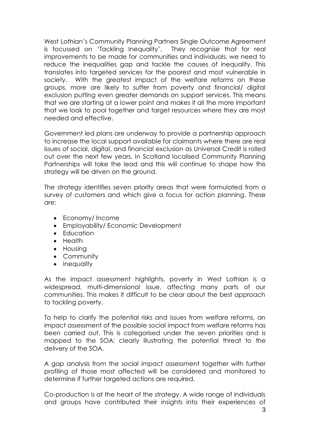West Lothian's Community Planning Partners Single Outcome Agreement is focussed on 'Tackling Inequality'. They recognise that for real improvements to be made for communities and individuals, we need to reduce the inequalities gap and tackle the causes of inequality. This translates into targeted services for the poorest and most vulnerable in society. With the greatest impact of the welfare reforms on these groups, more are likely to suffer from poverty and financial/ digital exclusion putting even greater demands on support services. This means that we are starting at a lower point and makes it all the more important that we look to pool together and target resources where they are most needed and effective.

Government led plans are underway to provide a partnership approach to increase the local support available for claimants where there are real issues of social, digital, and financial exclusion as Universal Credit is rolled out over the next few years. In Scotland localised Community Planning Partnerships will take the lead and this will continue to shape how this strategy will be driven on the ground.

The strategy identifies seven priority areas that were formulated from a survey of customers and which give a focus for action planning. These are:

- Economy/Income
- Employability/ Economic Development
- **Education**
- Health
- Housing
- Community
- Inequality

As the impact assessment highlights, poverty in West Lothian is a widespread, multi-dimensional issue, affecting many parts of our communities. This makes it difficult to be clear about the best approach to tackling poverty.

To help to clarify the potential risks and issues from welfare reforms, an impact assessment of the possible social impact from welfare reforms has been carried out. This is categorised under the seven priorities and is mapped to the SOA: clearly illustrating the potential threat to the delivery of the SOA.

A gap analysis from the social impact assessment together with further profiling of those most affected will be considered and monitored to determine if further targeted actions are required.

Co-production is at the heart of the strategy. A wide range of individuals and groups have contributed their insights into their experiences of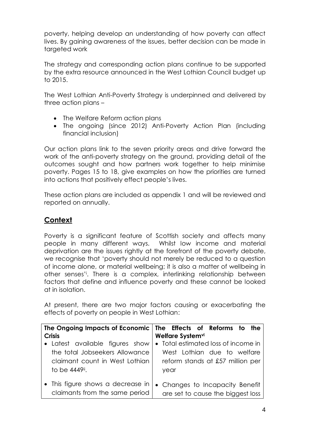poverty, helping develop an understanding of how poverty can affect lives. By gaining awareness of the issues, better decision can be made in targeted work

The strategy and corresponding action plans continue to be supported by the extra resource announced in the West Lothian Council budget up to 2015.

The West Lothian Anti-Poverty Strategy is underpinned and delivered by three action plans –

- The Welfare Reform action plans
- The ongoing (since 2012) Anti-Poverty Action Plan (including financial inclusion)

Our action plans link to the seven priority areas and drive forward the work of the anti-poverty strategy on the ground, providing detail of the outcomes sought and how partners work together to help minimise poverty. Pages 15 to 18, give examples on how the priorities are turned into actions that positively effect people's lives.

These action plans are included as appendix 1 and will be reviewed and reported on annually.

# **Context**

Poverty is a significant feature of Scottish society and affects many people in many different ways. Whilst low income and material deprivation are the issues rightly at the forefront of the poverty debate, we recognise that 'poverty should not merely be reduced to a question of income alone, or material wellbeing; it is also a matter of wellbeing in other senses'<sup>i</sup> . There is a complex, interlinking relationship between factors that define and influence poverty and these cannot be looked at in isolation.

At present, there are two major factors causing or exacerbating the effects of poverty on people in West Lothian:

|                                                                     | The Ongoing Impacts of Economic   The Effects of Reforms to the      |
|---------------------------------------------------------------------|----------------------------------------------------------------------|
| <b>Crisis</b>                                                       | Welfare Systemvi                                                     |
| • Latest available figures show                                     | • Total estimated loss of income in                                  |
| the total Jobseekers Allowance                                      | West Lothian due to welfare                                          |
| claimant count in West Lothian                                      | reform stands at £57 million per                                     |
| to be 4449ii.                                                       | year                                                                 |
| • This figure shows a decrease in<br>claimants from the same period | • Changes to Incapacity Benefit<br>are set to cause the biggest loss |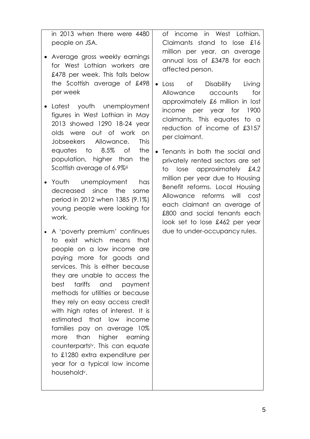in 2013 when there were 4480 people on JSA.

- Average gross weekly earnings for West Lothian workers are £478 per week. This falls below the Scottish average of £498 per week
- Latest youth unemployment figures in West Lothian in May 2013 showed 1290 18-24 year olds were out of work on Jobseekers Allowance. This equates to 8.5% of the population, higher than the Scottish average of 6.9%iii
- Youth unemployment has decreased since the same period in 2012 when 1385 (9.1%) young people were looking for work.
- A 'poverty premium' continues to exist which means that people on a low income are paying more for goods and services. This is either because they are unable to access the best tariffs and payment methods for utilities or because they rely on easy access credit with high rates of interest. It is estimated that low income families pay on average 10% more than higher earning counterpartsiv. This can equate to £1280 extra expenditure per year for a typical low income householdv.

of income in West Lothian. Claimants stand to lose £16 million per year, an average annual loss of £3478 for each affected person.

- Loss of Disability Living Allowance accounts for approximately £6 million in lost income per year for 1900 claimants. This equates to a reduction of income of £3157 per claimant.
- Tenants in both the social and privately rented sectors are set to lose approximately £4.2 million per year due to Housing Benefit reforms. Local Housing Allowance reforms will cost each claimant an average of £800 and social tenants each look set to lose £462 per year due to under-occupancy rules.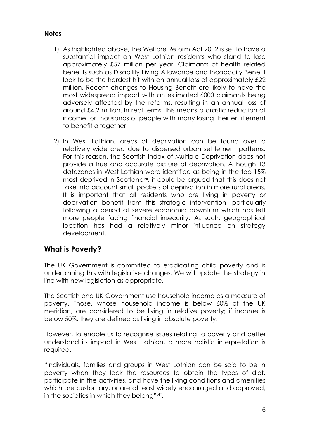#### **Notes**

- 1) As highlighted above, the Welfare Reform Act 2012 is set to have a substantial impact on West Lothian residents who stand to lose approximately £57 million per year. Claimants of health related benefits such as Disability Living Allowance and Incapacity Benefit look to be the hardest hit with an annual loss of approximately £22 million. Recent changes to Housing Benefit are likely to have the most widespread impact with an estimated 6000 claimants being adversely affected by the reforms, resulting in an annual loss of around £4.2 million. In real terms, this means a drastic reduction of income for thousands of people with many losing their entitlement to benefit altogether.
- 2) In West Lothian, areas of deprivation can be found over a relatively wide area due to dispersed urban settlement patterns. For this reason, the Scottish Index of Multiple Deprivation does not provide a true and accurate picture of deprivation. Although 13 datazones in West Lothian were identified as being in the top 15% most deprived in Scotlandvii, it could be argued that this does not take into account small pockets of deprivation in more rural areas. It is important that all residents who are living in poverty or deprivation benefit from this strategic intervention, particularly following a period of severe economic downturn which has left more people facing financial insecurity. As such, geographical location has had a relatively minor influence on strategy development.

# **What is Poverty?**

The UK Government is committed to eradicating child poverty and is underpinning this with legislative changes. We will update the strategy in line with new legislation as appropriate.

The Scottish and UK Government use household income as a measure of poverty. Those, whose household income is below 60% of the UK meridian, are considered to be living in relative poverty; if income is below 50%, they are defined as living in absolute poverty.

However, to enable us to recognise issues relating to poverty and better understand its impact in West Lothian, a more holistic interpretation is required.

"Individuals, families and groups in West Lothian can be said to be in poverty when they lack the resources to obtain the types of diet, participate in the activities, and have the living conditions and amenities which are customary, or are at least widely encouraged and approved, in the societies in which they belong"viii .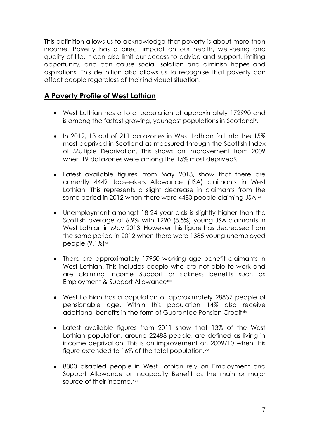This definition allows us to acknowledge that poverty is about more than income. Poverty has a direct impact on our health, well-being and quality of life. It can also limit our access to advice and support, limiting opportunity, and can cause social isolation and diminish hopes and aspirations. This definition also allows us to recognise that poverty can affect people regardless of their individual situation.

# **A Poverty Profile of West Lothian**

- West Lothian has a total population of approximately 172990 and is among the fastest growing, youngest populations in Scotlandix .
- In 2012, 13 out of 211 datazones in West Lothian fall into the 15% most deprived in Scotland as measured through the Scottish Index of Multiple Deprivation. This shows an improvement from 2009 when 19 datazones were among the 15% most deprived<sup>x</sup>.
- Latest available figures, from May 2013, show that there are currently 4449 Jobseekers Allowance (JSA) claimants in West Lothian. This represents a slight decrease in claimants from the same period in 2012 when there were 4480 people claiming JSA.<sup>xi</sup>
- Unemployment amongst 18-24 year olds is slightly higher than the Scottish average of 6.9% with 1290 (8.5%) young JSA claimants in West Lothian in May 2013. However this figure has decreased from the same period in 2012 when there were 1385 young unemployed people (9.1%)xii
- There are approximately 17950 working age benefit claimants in West Lothian. This includes people who are not able to work and are claiming Income Support or sickness benefits such as Employment & Support Allowance<sup>xiii</sup>
- West Lothian has a population of approximately 28837 people of pensionable age. Within this population 14% also receive additional benefits in the form of Guarantee Pension Creditxiv
- Latest available figures from 2011 show that 13% of the West Lothian population, around 22488 people, are defined as living in income deprivation. This is an improvement on 2009/10 when this figure extended to 16% of the total population.<sup>xv</sup>
- 8800 disabled people in West Lothian rely on Employment and Support Allowance or Incapacity Benefit as the main or major source of their income.xvi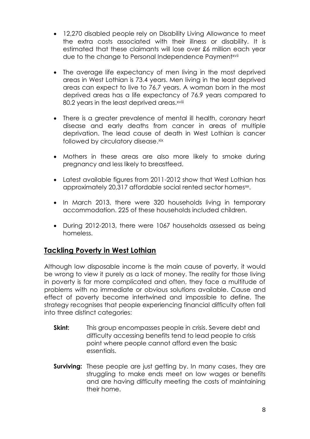- 12,270 disabled people rely on Disability Living Allowance to meet the extra costs associated with their illness or disability. It is estimated that these claimants will lose over £6 million each year due to the change to Personal Independence Payment<sup>xvii</sup>
- The average life expectancy of men living in the most deprived areas in West Lothian is 73.4 years. Men living in the least deprived areas can expect to live to 76.7 years. A woman born in the most deprived areas has a life expectancy of 76.9 years compared to 80.2 years in the least deprived areas.<sup>xviii</sup>
- There is a greater prevalence of mental ill health, coronary heart disease and early deaths from cancer in areas of multiple deprivation. The lead cause of death in West Lothian is cancer followed by circulatory disease.xix
- Mothers in these areas are also more likely to smoke during pregnancy and less likely to breastfeed.
- Latest available figures from 2011-2012 show that West Lothian has approximately 20,317 affordable social rented sector homes<sup>xx</sup>.
- In March 2013, there were 320 households living in temporary accommodation. 225 of these households included children.
- During 2012-2013, there were 1067 households assessed as being homeless.

# **Tackling Poverty in West Lothian**

Although low disposable income is the main cause of poverty, it would be wrong to view it purely as a lack of money. The reality for those living in poverty is far more complicated and often, they face a multitude of problems with no immediate or obvious solutions available. Cause and effect of poverty become intertwined and impossible to define. The strategy recognises that people experiencing financial difficulty often fall into three distinct categories:

- **Skint:** This group encompasses people in crisis. Severe debt and difficulty accessing benefits tend to lead people to crisis point where people cannot afford even the basic essentials.
- **Surviving:** These people are just getting by. In many cases, they are struggling to make ends meet on low wages or benefits and are having difficulty meeting the costs of maintaining their home.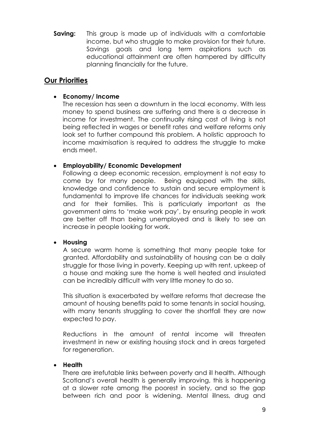**Saving:** This group is made up of individuals with a comfortable income, but who struggle to make provision for their future. Savings goals and long term aspirations such as educational attainment are often hampered by difficulty planning financially for the future.

# **Our Priorities**

### **Economy/ Income**

The recession has seen a downturn in the local economy. With less money to spend business are suffering and there is a decrease in income for investment. The continually rising cost of living is not being reflected in wages or benefit rates and welfare reforms only look set to further compound this problem. A holistic approach to income maximisation is required to address the struggle to make ends meet.

#### **Employability/ Economic Development**

Following a deep economic recession, employment is not easy to come by for many people. Being equipped with the skills, knowledge and confidence to sustain and secure employment is fundamental to improve life chances for individuals seeking work and for their families. This is particularly important as the government aims to 'make work pay', by ensuring people in work are better off than being unemployed and is likely to see an increase in people looking for work.

#### **Housing**

A secure warm home is something that many people take for granted. Affordability and sustainability of housing can be a daily struggle for those living in poverty. Keeping up with rent, upkeep of a house and making sure the home is well heated and insulated can be incredibly difficult with very little money to do so.

This situation is exacerbated by welfare reforms that decrease the amount of housing benefits paid to some tenants in social housing, with many tenants struggling to cover the shortfall they are now expected to pay.

Reductions in the amount of rental income will threaten investment in new or existing housing stock and in areas targeted for regeneration.

# **Health**

There are irrefutable links between poverty and ill health. Although Scotland's overall health is generally improving, this is happening at a slower rate among the poorest in society, and so the gap between rich and poor is widening. Mental illness, drug and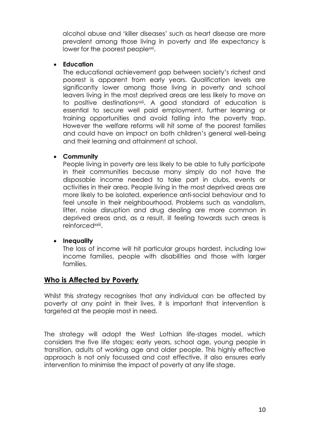alcohol abuse and 'killer diseases' such as heart disease are more prevalent among those living in poverty and life expectancy is lower for the poorest people<sup>xxi</sup>.

#### **Education**

The educational achievement gap between society's richest and poorest is apparent from early years. Qualification levels are significantly lower among those living in poverty and school leavers living in the most deprived areas are less likely to move on to positive destinationsxxii. A good standard of education is essential to secure well paid employment, further learning or training opportunities and avoid falling into the poverty trap. However the welfare reforms will hit some of the poorest families and could have an impact on both children's general well-being and their learning and attainment at school.

#### **Community**

People living in poverty are less likely to be able to fully participate in their communities because many simply do not have the disposable income needed to take part in clubs, events or activities in their area. People living in the most deprived areas are more likely to be isolated, experience anti-social behaviour and to feel unsafe in their neighbourhood. Problems such as vandalism, litter, noise disruption and drug dealing are more common in deprived areas and, as a result, ill feeling towards such areas is reinforced<sup>xxiii</sup>.

# **Inequality**

The loss of income will hit particular groups hardest, including low income families, people with disabilities and those with larger families.

# **Who is Affected by Poverty**

Whilst this strategy recognises that any individual can be affected by poverty at any point in their lives, it is important that intervention is targeted at the people most in need.

The strategy will adopt the West Lothian life-stages model, which considers the five life stages; early years, school age, young people in transition, adults of working age and older people. This highly effective approach is not only focussed and cost effective, it also ensures early intervention to minimise the impact of poverty at any life stage.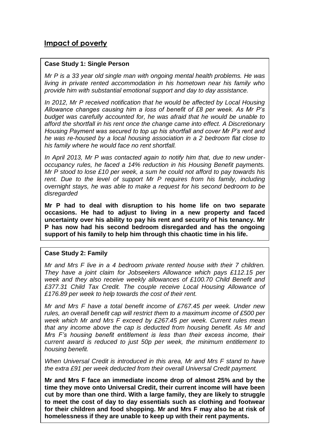# **Impact of poverty**

#### **Case Study 1: Single Person**

*Mr P is a 33 year old single man with ongoing mental health problems. He was living in private rented accommodation in his hometown near his family who provide him with substantial emotional support and day to day assistance.* 

*In 2012, Mr P received notification that he would be affected by Local Housing Allowance changes causing him a loss of benefit of £8 per week. As Mr P's budget was carefully accounted for, he was afraid that he would be unable to afford the shortfall in his rent once the change came into effect. A Discretionary Housing Payment was secured to top up his shortfall and cover Mr P's rent and he was re-housed by a local housing association in a 2 bedroom flat close to his family where he would face no rent shortfall.* 

*In April 2013, Mr P was contacted again to notify him that, due to new underoccupancy rules, he faced a 14% reduction in his Housing Benefit payments. Mr P stood to lose £10 per week, a sum he could not afford to pay towards his rent. Due to the level of support Mr P requires from his family, including overnight stays, he was able to make a request for his second bedroom to be disregarded* 

**Mr P had to deal with disruption to his home life on two separate occasions. He had to adjust to living in a new property and faced uncertainty over his ability to pay his rent and security of his tenancy. Mr P has now had his second bedroom disregarded and has the ongoing support of his family to help him through this chaotic time in his life.**

#### **Case Study 2: Family**

*Mr and Mrs F live in a 4 bedroom private rented house with their 7 children. They have a joint claim for Jobseekers Allowance which pays £112.15 per week and they also receive weekly allowances of £100.70 Child Benefit and £377.31 Child Tax Credit. The couple receive Local Housing Allowance of £176.89 per week to help towards the cost of their rent.* 

*Mr and Mrs F have a total benefit income of £767.45 per week. Under new rules, an overall benefit cap will restrict them to a maximum income of £500 per week which Mr and Mrs F exceed by £267.45 per week. Current rules mean that any income above the cap is deducted from housing benefit. As Mr and Mrs F's housing benefit entitlement is less than their excess income, their current award is reduced to just 50p per week, the minimum entitlement to housing benefit.* 

*When Universal Credit is introduced in this area, Mr and Mrs F stand to have the extra £91 per week deducted from their overall Universal Credit payment.* 

11 **for their children and food shopping. Mr and Mrs F may also be at risk of Mr and Mrs F face an immediate income drop of almost 25% and by the time they move onto Universal Credit, their current income will have been cut by more than one third. With a large family, they are likely to struggle to meet the cost of day to day essentials such as clothing and footwear homelessness if they are unable to keep up with their rent payments.**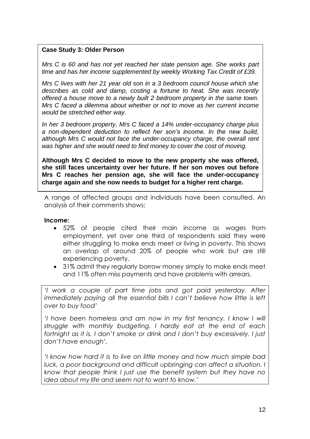#### **Case Study 3: Older Person**

*Mrs C is 60 and has not yet reached her state pension age. She works part time and has her income supplemented by weekly Working Tax Credit of £39.*

*Mrs C lives with her 21 year old son in a 3 bedroom council house which she describes as cold and damp, costing a fortune to heat. She was recently offered a house move to a newly built 2 bedroom property in the same town. Mrs C faced a dilemma about whether or not to move as her current income would be stretched either way.* 

*In her 3 bedroom property, Mrs C faced a 14% under-occupancy charge plus a non-dependent deduction to reflect her son's income. In the new build, although Mrs C would not face the under-occupancy charge, the overall rent was higher and she would need to find money to cover the cost of moving.* 

**Messages from People Affected By Poverty charge again and she now needs to budget for a higher rent charge. Although Mrs C decided to move to the new property she was offered, she still faces uncertainty over her future. If her son moves out before Mrs C reaches her pension age, she will face the under-occupancy** 

A range of affected groups and individuals have been consulted. An analysis of their comments shows:

#### **Income:**

- 52% of people cited their main income as wages from employment, yet over one third of respondents said they were either struggling to make ends meet or living in poverty. This shows an overlap of around 20% of people who work but are still experiencing poverty.
- 31% admit they regularly borrow money simply to make ends meet and 11% often miss payments and have problems with arrears.

*'I work a couple of part time jobs and got paid yesterday. After immediately paying all the essential bills I can't believe how little is left over to buy food'* 

*'I have been homeless and am now in my first tenancy. I know I will struggle with monthly budgeting. I hardly eat at the end of each fortnight as it is. I don't smoke or drink and I don't buy excessively. I just don't have enough'.* 

*'I know how hard it is to live on little money and how much simple bad luck, a poor background and difficult upbringing can affect a situation. I know that people think I just use the benefit system but they have no idea about my life and seem not to want to know.'*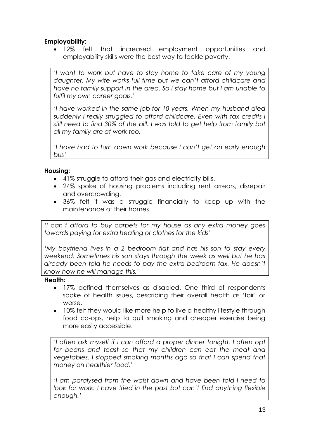# **Employability:**

 12% felt that increased employment opportunities and employability skills were the best way to tackle poverty.

*'I want to work but have to stay home to take care of my young daughter. My wife works full time but we can't afford childcare and have no family support in the area. So I stay home but I am unable to fulfil my own career goals.'*

*'I have worked in the same job for 10 years. When my husband died suddenly I really struggled to afford childcare. Even with tax credits I still need to find 30% of the bill. I was told to get help from family but all my family are at work too.'*

*'I have had to turn down work because I can't get an early enough bus'*

#### **Housing:**

- 41% struggle to afford their gas and electricity bills.
- 24% spoke of housing problems including rent arrears, disrepair and overcrowding.
- 36% felt it was a struggle financially to keep up with the maintenance of their homes.

*'I can't afford to buy carpets for my house as any extra money goes towards paying for extra heating or clothes for the kids'*

*'My boyfriend lives in a 2 bedroom flat and has his son to stay every weekend. Sometimes his son stays through the week as well but he has already been told he needs to pay the extra bedroom tax. He doesn't know how he will manage this.'* 

**Health:**

- 17% defined themselves as disabled. One third of respondents spoke of health issues, describing their overall health as 'fair' or worse.
- 10% felt they would like more help to live a healthy lifestyle through food co-ops, help to quit smoking and cheaper exercise being more easily accessible.

*'I often ask myself if I can afford a proper dinner tonight. I often opt for beans and toast so that my children can eat the meat and vegetables. I stopped smoking months ago so that I can spend that money on healthier food.'*

*'I am paralysed from the waist down and have been told I need to look for work. I have tried in the past but can't find anything flexible enough.'*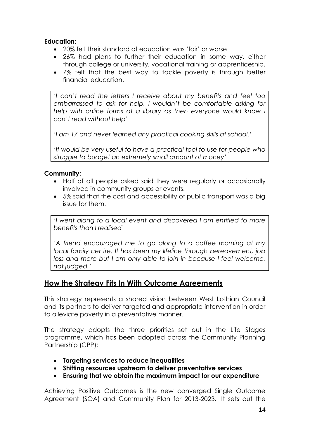### **Education:**

- 20% felt their standard of education was 'fair' or worse.
- 26% had plans to further their education in some way, either through college or university, vocational training or apprenticeship.
- 7% felt that the best way to tackle poverty is through better financial education.

*'I can't read the letters I receive about my benefits and feel too embarrassed to ask for help. I wouldn't be comfortable asking for help with online forms at a library as then everyone would know I can't read without help'*

*'I am 17 and never learned any practical cooking skills at school.'* 

*'It would be very useful to have a practical tool to use for people who struggle to budget an extremely small amount of money'* 

#### **Community:**

- Half of all people asked said they were regularly or occasionally involved in community groups or events.
- 5% said that the cost and accessibility of public transport was a big issue for them.

*'I went along to a local event and discovered I am entitled to more benefits than I realised'* 

*'A friend encouraged me to go along to a coffee morning at my local family centre. It has been my lifeline through bereavement, job loss and more but I am only able to join in because I feel welcome, not judged.'*

# **How the Strategy Fits In With Outcome Agreements**

This strategy represents a shared vision between West Lothian Council and its partners to deliver targeted and appropriate intervention in order to alleviate poverty in a preventative manner.

The strategy adopts the three priorities set out in the Life Stages programme, which has been adopted across the Community Planning Partnership (CPP):

- **Targeting services to reduce inequalities**
- **Shifting resources upstream to deliver preventative services**
- **Ensuring that we obtain the maximum impact for our expenditure**

Achieving Positive Outcomes is the new converged Single Outcome Agreement (SOA) and Community Plan for 2013-2023. It sets out the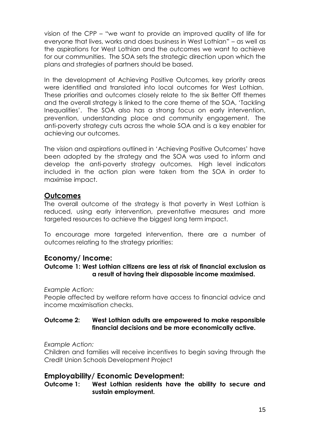vision of the CPP – "we want to provide an improved quality of life for everyone that lives, works and does business in West Lothian" – as well as the aspirations for West Lothian and the outcomes we want to achieve for our communities. The SOA sets the strategic direction upon which the plans and strategies of partners should be based.

In the development of Achieving Positive Outcomes, key priority areas were identified and translated into local outcomes for West Lothian. These priorities and outcomes closely relate to the six Better Off themes and the overall strategy is linked to the core theme of the SOA, 'Tackling Inequalities'. The SOA also has a strong focus on early intervention, prevention, understanding place and community engagement. The anti-poverty strategy cuts across the whole SOA and is a key enabler for achieving our outcomes.

The vision and aspirations outlined in 'Achieving Positive Outcomes' have been adopted by the strategy and the SOA was used to inform and develop the anti-poverty strategy outcomes. High level indicators included in the action plan were taken from the SOA in order to maximise impact.

# **Outcomes**

The overall outcome of the strategy is that poverty in West Lothian is reduced, using early intervention, preventative measures and more targeted resources to achieve the biggest long term impact.

To encourage more targeted intervention, there are a number of outcomes relating to the strategy priorities:

# **Economy/ Income:**

# **Outcome 1: West Lothian citizens are less at risk of financial exclusion as a result of having their disposable income maximised.**

*Example Action:*

People affected by welfare reform have access to financial advice and income maximisation checks.

#### **Outcome 2: West Lothian adults are empowered to make responsible financial decisions and be more economically active.**

*Example Action:*

Children and families will receive incentives to begin saving through the Credit Union Schools Development Project

# **Employability/ Economic Development:**

**Outcome 1: West Lothian residents have the ability to secure and sustain employment.**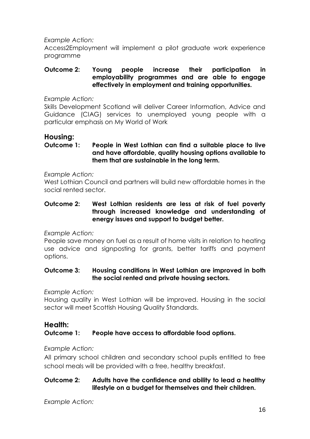*Example Action:*

Access2Employment will implement a pilot graduate work experience programme

#### **Outcome 2: Young people increase their participation in employability programmes and are able to engage effectively in employment and training opportunities.**

*Example Action:*

Skills Development Scotland will deliver Career Information, Advice and Guidance (CIAG) services to unemployed young people with a particular emphasis on My World of Work

# **Housing:**

#### **Outcome 1: People in West Lothian can find a suitable place to live and have affordable, quality housing options available to them that are sustainable in the long term.**

*Example Action:*

West Lothian Council and partners will build new affordable homes in the social rented sector.

#### **Outcome 2: West Lothian residents are less at risk of fuel poverty through increased knowledge and understanding of energy issues and support to budget better.**

*Example Action:*

People save money on fuel as a result of home visits in relation to heating use advice and signposting for grants, better tariffs and payment options.

# **Outcome 3: Housing conditions in West Lothian are improved in both the social rented and private housing sectors.**

*Example Action:*

Housing quality in West Lothian will be improved. Housing in the social sector will meet Scottish Housing Quality Standards.

#### **Health: Outcome 1: People have access to affordable food options.**

# *Example Action:*

All primary school children and secondary school pupils entitled to free school meals will be provided with a free, healthy breakfast.

#### **Outcome 2: Adults have the confidence and ability to lead a healthy lifestyle on a budget for themselves and their children.**

*Example Action:*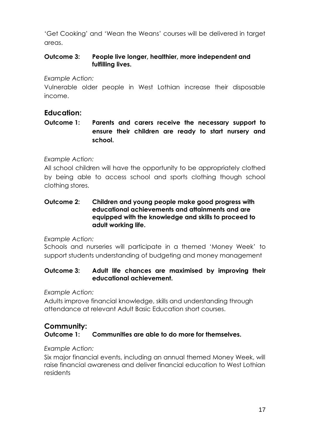'Get Cooking' and 'Wean the Weans' courses will be delivered in target areas.

# **Outcome 3: People live longer, healthier, more independent and fulfilling lives.**

*Example Action:*

Vulnerable older people in West Lothian increase their disposable income.

# **Education:**

**Outcome 1: Parents and carers receive the necessary support to ensure their children are ready to start nursery and school.** 

# *Example Action:*

All school children will have the opportunity to be appropriately clothed by being able to access school and sports clothing though school clothing stores.

#### **Outcome 2: Children and young people make good progress with educational achievements and attainments and are equipped with the knowledge and skills to proceed to adult working life.**

*Example Action:*

Schools and nurseries will participate in a themed 'Money Week' to support students understanding of budgeting and money management

# **Outcome 3: Adult life chances are maximised by improving their educational achievement.**

*Example Action:*

Adults improve financial knowledge, skills and understanding through attendance at relevant Adult Basic Education short courses.

# **Community: Outcome 1: Communities are able to do more for themselves.**

# *Example Action:*

Six major financial events, including an annual themed Money Week, will raise financial awareness and deliver financial education to West Lothian residents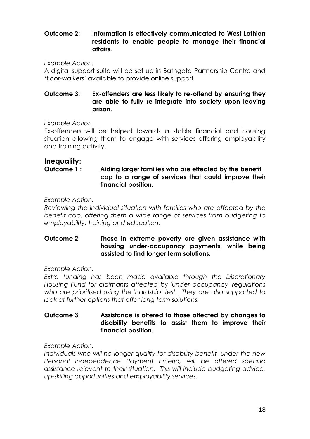#### **Outcome 2: Information is effectively communicated to West Lothian residents to enable people to manage their financial affairs.**

*Example Action:*

A digital support suite will be set up in Bathgate Partnership Centre and 'floor-walkers' available to provide online support

#### **Outcome 3: Ex-offenders are less likely to re-offend by ensuring they are able to fully re-integrate into society upon leaving prison.**

#### *Example Action*

Ex-offenders will be helped towards a stable financial and housing situation allowing them to engage with services offering employability and training activity.

# **Inequality:**

**Outcome 1 : Aiding larger families who are effected by the benefit cap to a range of services that could improve their financial position.**

*Example Action:*

*Reviewing the individual situation with families who are affected by the benefit cap, offering them a wide range of services from budgeting to employability, training and education.*

### **Outcome 2: Those in extreme poverty are given assistance with housing under-occupancy payments, while being assisted to find longer term solutions.**

*Example Action:*

*Extra funding has been made available through the Discretionary Housing Fund for claimants affected by 'under occupancy' regulations who are prioritised using the 'hardship' test. They are also supported to look at further options that offer long term solutions.*

#### **Outcome 3: Assistance is offered to those affected by changes to disability benefits to assist them to improve their financial position.**

*Example Action:*

*Individuals who will no longer qualify for disability benefit, under the new Personal Independence Payment criteria, will be offered specific assistance relevant to their situation. This will include budgeting advice, up-skilling opportunities and employability services.*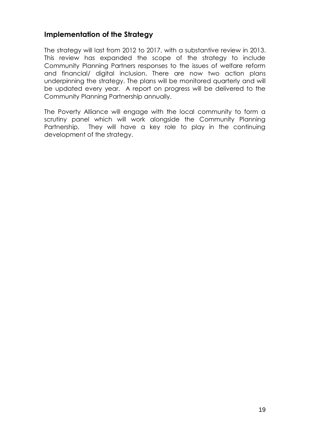# **Implementation of the Strategy**

The strategy will last from 2012 to 2017, with a substantive review in 2013. This review has expanded the scope of the strategy to include Community Planning Partners responses to the issues of welfare reform and financial/ digital inclusion. There are now two action plans underpinning the strategy. The plans will be monitored quarterly and will be updated every year. A report on progress will be delivered to the Community Planning Partnership annually.

The Poverty Alliance will engage with the local community to form a scrutiny panel which will work alongside the Community Planning Partnership. They will have a key role to play in the continuing development of the strategy.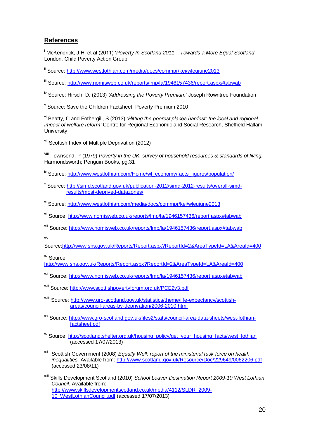#### **References**

l

<sup>i</sup> McKendrick, J.H. et al (2011) '*Poverty In Scotland 2011 – Towards a More Equal Scotland*' London. Child Poverty Action Group

ii Source:<http://www.westlothian.com/media/docs/commpr/kei/wleujune2013>

iii Source:<http://www.nomisweb.co.uk/reports/lmp/la/1946157436/report.aspx#tabwab>

iv Source: Hirsch, D. (2013) *'Addressing the Poverty Premium'* Joseph Rowntree Foundation

<sup>v</sup> Source: Save the Children Factsheet, Poverty Premium 2010

vi Beatty, C and Fothergill, S (2013) *'Hitting the poorest places hardest: the local and regional impact of welfare reform'* Centre for Regional Economic and Social Research, Sheffield Hallam **University** 

vii Scottish Index of Multiple Deprivation (2012)

viii Townsend, P (1979) *Poverty in the UK, survey of household resources & standards of living.*  Harmondsworth; Penguin Books, pg.31

<sup>ix</sup> Source: [http://www.westlothian.com/Home/wl\\_economy/facts\\_figures/population/](http://www.westlothian.com/Home/wl_economy/facts_figures/population/)

- <sup>x</sup> Source: [http://simd.scotland.gov.uk/publication-2012/simd-2012-results/overall-simd](http://simd.scotland.gov.uk/publication-2012/simd-2012-results/overall-simd-%20results/most-deprived-datazones/)[results/most-deprived-datazones/](http://simd.scotland.gov.uk/publication-2012/simd-2012-results/overall-simd-%20results/most-deprived-datazones/)
- xi Source:<http://www.westlothian.com/media/docs/commpr/kei/wleujune2013>
- xii Source:<http://www.nomisweb.co.uk/reports/lmp/la/1946157436/report.aspx#tabwab>
- xiii Source:<http://www.nomisweb.co.uk/reports/lmp/la/1946157436/report.aspx#tabwab>

xiv

Source[:http://www.sns.gov.uk/Reports/Report.aspx?ReportId=2&AreaTypeId=LA&AreaId=400](http://www.sns.gov.uk/Reports/Report.aspx?ReportId=2&AreaTypeId=LA&AreaId=400)

xv Source:

<http://www.sns.gov.uk/Reports/Report.aspx?ReportId=2&AreaTypeId=LA&AreaId=400>

- xvi Source:<http://www.nomisweb.co.uk/reports/lmp/la/1946157436/report.aspx#tabwab>
- xvii Source:<http://www.scottishpovertyforum.org.uk/PCE2v3.pdf>
- xviii Source: [http://www.gro-scotland.gov.uk/statistics/theme/life-expectancy/scottish](http://www.gro-scotland.gov.uk/statistics/theme/life-expectancy/scottish-areas/council-areas-by-deprivation/2006-2010.html)[areas/council-areas-by-deprivation/2006-2010.html](http://www.gro-scotland.gov.uk/statistics/theme/life-expectancy/scottish-areas/council-areas-by-deprivation/2006-2010.html)
- xix Source: [http://www.gro-scotland.gov.uk/files2/stats/council-area-data-sheets/west-lothian](http://www.gro-scotland.gov.uk/files2/stats/council-area-data-sheets/west-lothian-factsheet.pdf)[factsheet.pdf](http://www.gro-scotland.gov.uk/files2/stats/council-area-data-sheets/west-lothian-factsheet.pdf)
- <sup>xx</sup> Source: [http://scotland.shelter.org.uk/housing\\_policy/get\\_your\\_housing\\_facts/west\\_lothian](http://scotland.shelter.org.uk/housing_policy/get_your_housing_facts/west_lothian) (accessed 17/07/2013)
- xxi Scottish Government (2008) *Equally Well: report of the ministerial task force on health inequalities.* Available from:<http://www.scotland.gov.uk/Resource/Doc/229649/0062206.pdf> (accessed 23/08/11)
- xxii Skills Development Scotland (2010) *School Leaver Destination Report 2009-10 West Lothian Council.* Available from: [http://www.skillsdevelopmentscotland.co.uk/media/4112/SLDR\\_2009-](http://www.skillsdevelopmentscotland.co.uk/media/4112/SLDR_2009-10_WestLothianCouncil.pdf) [10\\_WestLothianCouncil.pdf](http://www.skillsdevelopmentscotland.co.uk/media/4112/SLDR_2009-10_WestLothianCouncil.pdf) (accessed 17/07/2013)